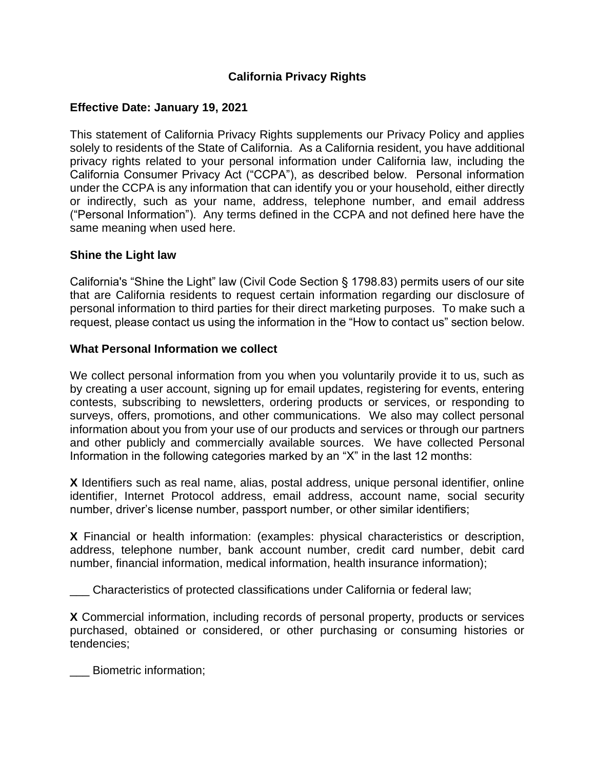# **California Privacy Rights**

### **Effective Date: January 19, 2021**

This statement of California Privacy Rights supplements our Privacy Policy and applies solely to residents of the State of California. As a California resident, you have additional privacy rights related to your personal information under California law, including the California Consumer Privacy Act ("CCPA"), as described below. Personal information under the CCPA is any information that can identify you or your household, either directly or indirectly, such as your name, address, telephone number, and email address ("Personal Information"). Any terms defined in the CCPA and not defined here have the same meaning when used here.

### **Shine the Light law**

California's "Shine the Light" law (Civil Code Section § 1798.83) permits users of our site that are California residents to request certain information regarding our disclosure of personal information to third parties for their direct marketing purposes. To make such a request, please contact us using the information in the "How to contact us" section below.

#### **What Personal Information we collect**

We collect personal information from you when you voluntarily provide it to us, such as by creating a user account, signing up for email updates, registering for events, entering contests, subscribing to newsletters, ordering products or services, or responding to surveys, offers, promotions, and other communications. We also may collect personal information about you from your use of our products and services or through our partners and other publicly and commercially available sources. We have collected Personal Information in the following categories marked by an "X" in the last 12 months:

**X** Identifiers such as real name, alias, postal address, unique personal identifier, online identifier, Internet Protocol address, email address, account name, social security number, driver's license number, passport number, or other similar identifiers;

**X** Financial or health information: (examples: physical characteristics or description, address, telephone number, bank account number, credit card number, debit card number, financial information, medical information, health insurance information);

\_\_\_ Characteristics of protected classifications under California or federal law;

**X** Commercial information, including records of personal property, products or services purchased, obtained or considered, or other purchasing or consuming histories or tendencies;

\_\_\_ Biometric information;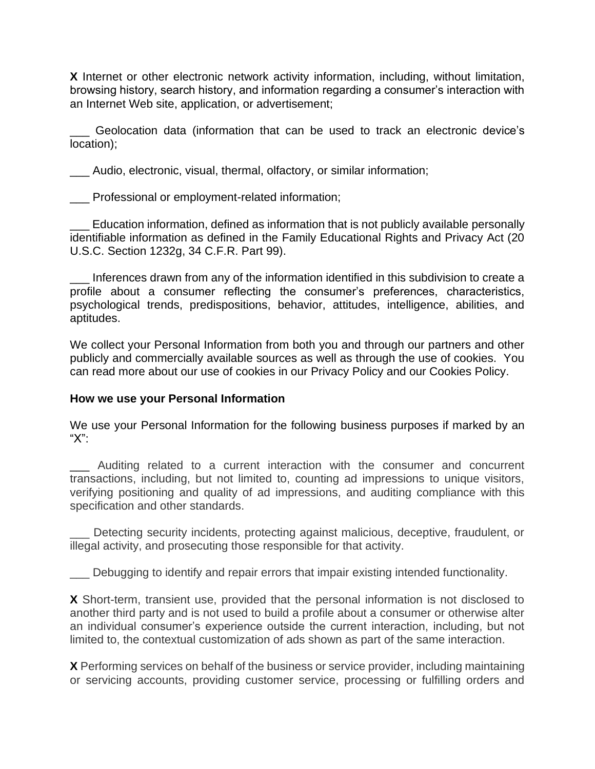**X** Internet or other electronic network activity information, including, without limitation, browsing history, search history, and information regarding a consumer's interaction with an Internet Web site, application, or advertisement;

\_\_\_ Geolocation data (information that can be used to track an electronic device's location);

\_\_\_ Audio, electronic, visual, thermal, olfactory, or similar information;

\_\_\_ Professional or employment-related information;

Education information, defined as information that is not publicly available personally identifiable information as defined in the Family Educational Rights and Privacy Act (20 U.S.C. Section 1232g, 34 C.F.R. Part 99).

Inferences drawn from any of the information identified in this subdivision to create a profile about a consumer reflecting the consumer's preferences, characteristics, psychological trends, predispositions, behavior, attitudes, intelligence, abilities, and aptitudes.

We collect your Personal Information from both you and through our partners and other publicly and commercially available sources as well as through the use of cookies. You can read more about our use of cookies in our Privacy Policy and our Cookies Policy.

### **How we use your Personal Information**

We use your Personal Information for the following business purposes if marked by an "X":

Auditing related to a current interaction with the consumer and concurrent transactions, including, but not limited to, counting ad impressions to unique visitors, verifying positioning and quality of ad impressions, and auditing compliance with this specification and other standards.

Detecting security incidents, protecting against malicious, deceptive, fraudulent, or illegal activity, and prosecuting those responsible for that activity.

Debugging to identify and repair errors that impair existing intended functionality.

**X** Short-term, transient use, provided that the personal information is not disclosed to another third party and is not used to build a profile about a consumer or otherwise alter an individual consumer's experience outside the current interaction, including, but not limited to, the contextual customization of ads shown as part of the same interaction.

**X** Performing services on behalf of the business or service provider, including maintaining or servicing accounts, providing customer service, processing or fulfilling orders and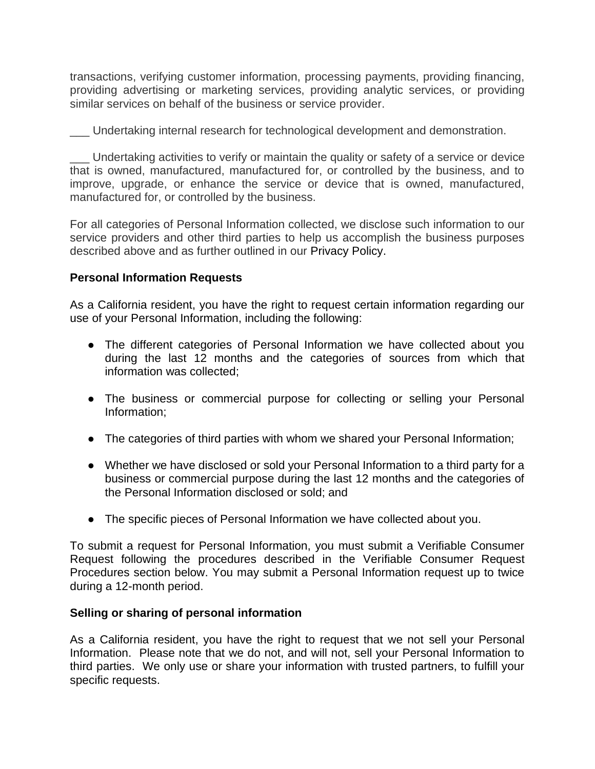transactions, verifying customer information, processing payments, providing financing, providing advertising or marketing services, providing analytic services, or providing similar services on behalf of the business or service provider.

\_\_\_ Undertaking internal research for technological development and demonstration.

\_\_\_ Undertaking activities to verify or maintain the quality or safety of a service or device that is owned, manufactured, manufactured for, or controlled by the business, and to improve, upgrade, or enhance the service or device that is owned, manufactured, manufactured for, or controlled by the business.

For all categories of Personal Information collected, we disclose such information to our service providers and other third parties to help us accomplish the business purposes described above and as further outlined in our Privacy Policy.

# **Personal Information Requests**

As a California resident, you have the right to request certain information regarding our use of your Personal Information, including the following:

- The different categories of Personal Information we have collected about you during the last 12 months and the categories of sources from which that information was collected;
- The business or commercial purpose for collecting or selling your Personal Information;
- The categories of third parties with whom we shared your Personal Information;
- Whether we have disclosed or sold your Personal Information to a third party for a business or commercial purpose during the last 12 months and the categories of the Personal Information disclosed or sold; and
- The specific pieces of Personal Information we have collected about you.

To submit a request for Personal Information, you must submit a Verifiable Consumer Request following the procedures described in the Verifiable Consumer Request Procedures section below. You may submit a Personal Information request up to twice during a 12-month period.

### **Selling or sharing of personal information**

As a California resident, you have the right to request that we not sell your Personal Information. Please note that we do not, and will not, sell your Personal Information to third parties. We only use or share your information with trusted partners, to fulfill your specific requests.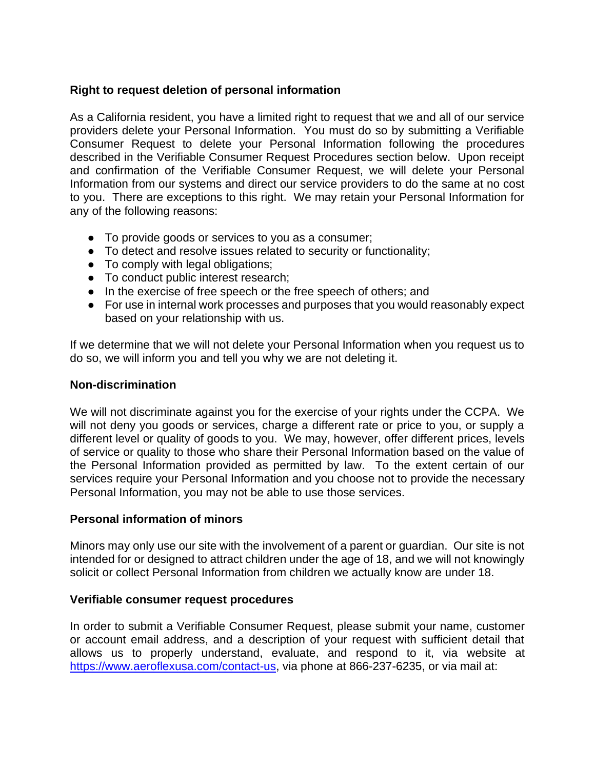# **Right to request deletion of personal information**

As a California resident, you have a limited right to request that we and all of our service providers delete your Personal Information. You must do so by submitting a Verifiable Consumer Request to delete your Personal Information following the procedures described in the Verifiable Consumer Request Procedures section below. Upon receipt and confirmation of the Verifiable Consumer Request, we will delete your Personal Information from our systems and direct our service providers to do the same at no cost to you. There are exceptions to this right. We may retain your Personal Information for any of the following reasons:

- To provide goods or services to you as a consumer;
- To detect and resolve issues related to security or functionality;
- To comply with legal obligations;
- To conduct public interest research;
- In the exercise of free speech or the free speech of others; and
- For use in internal work processes and purposes that you would reasonably expect based on your relationship with us.

If we determine that we will not delete your Personal Information when you request us to do so, we will inform you and tell you why we are not deleting it.

#### **Non-discrimination**

We will not discriminate against you for the exercise of your rights under the CCPA. We will not deny you goods or services, charge a different rate or price to you, or supply a different level or quality of goods to you. We may, however, offer different prices, levels of service or quality to those who share their Personal Information based on the value of the Personal Information provided as permitted by law. To the extent certain of our services require your Personal Information and you choose not to provide the necessary Personal Information, you may not be able to use those services.

### **Personal information of minors**

Minors may only use our site with the involvement of a parent or guardian. Our site is not intended for or designed to attract children under the age of 18, and we will not knowingly solicit or collect Personal Information from children we actually know are under 18.

#### **Verifiable consumer request procedures**

In order to submit a Verifiable Consumer Request, please submit your name, customer or account email address, and a description of your request with sufficient detail that allows us to properly understand, evaluate, and respond to it, via website at [https://www.aeroflexusa.com/contact-us,](https://www.aeroflexusa.com/contact-us) via phone at 866-237-6235, or via mail at: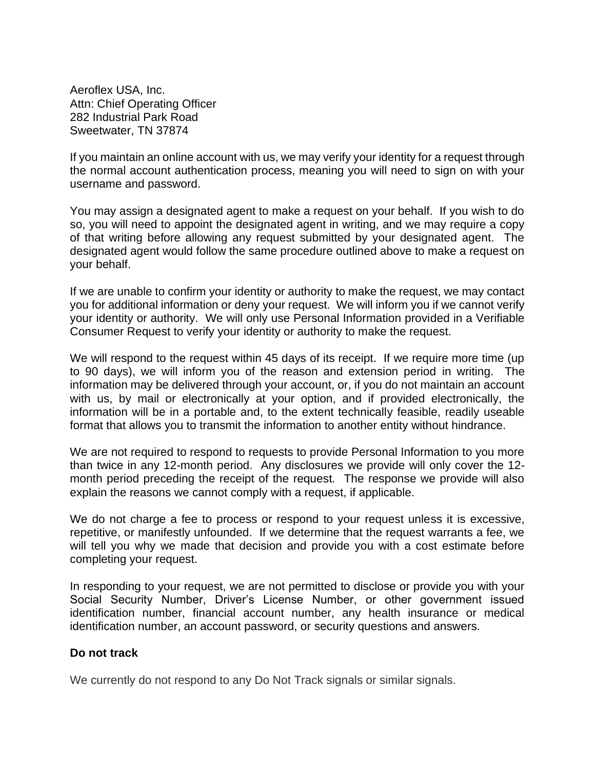Aeroflex USA, Inc. Attn: Chief Operating Officer 282 Industrial Park Road Sweetwater, TN 37874

If you maintain an online account with us, we may verify your identity for a request through the normal account authentication process, meaning you will need to sign on with your username and password.

You may assign a designated agent to make a request on your behalf. If you wish to do so, you will need to appoint the designated agent in writing, and we may require a copy of that writing before allowing any request submitted by your designated agent. The designated agent would follow the same procedure outlined above to make a request on your behalf.

If we are unable to confirm your identity or authority to make the request, we may contact you for additional information or deny your request. We will inform you if we cannot verify your identity or authority. We will only use Personal Information provided in a Verifiable Consumer Request to verify your identity or authority to make the request.

We will respond to the request within 45 days of its receipt. If we require more time (up to 90 days), we will inform you of the reason and extension period in writing. The information may be delivered through your account, or, if you do not maintain an account with us, by mail or electronically at your option, and if provided electronically, the information will be in a portable and, to the extent technically feasible, readily useable format that allows you to transmit the information to another entity without hindrance.

We are not required to respond to requests to provide Personal Information to you more than twice in any 12-month period. Any disclosures we provide will only cover the 12 month period preceding the receipt of the request. The response we provide will also explain the reasons we cannot comply with a request, if applicable.

We do not charge a fee to process or respond to your request unless it is excessive, repetitive, or manifestly unfounded. If we determine that the request warrants a fee, we will tell you why we made that decision and provide you with a cost estimate before completing your request.

In responding to your request, we are not permitted to disclose or provide you with your Social Security Number, Driver's License Number, or other government issued identification number, financial account number, any health insurance or medical identification number, an account password, or security questions and answers.

### **Do not track**

We currently do not respond to any Do Not Track signals or similar signals.